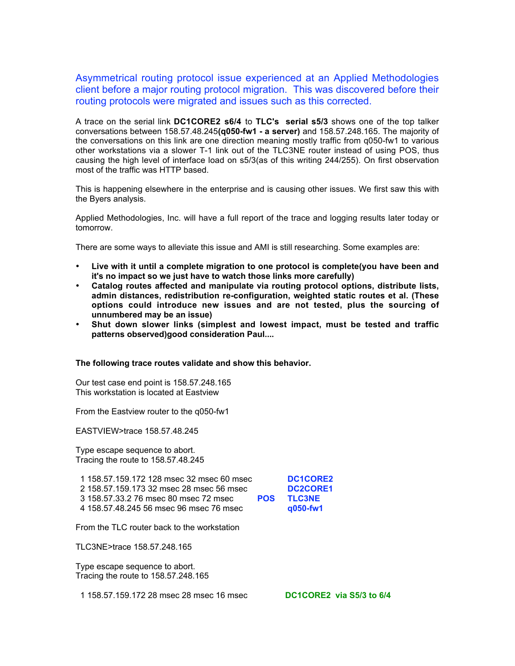Asymmetrical routing protocol issue experienced at an Applied Methodologies client before a major routing protocol migration. This was discovered before their routing protocols were migrated and issues such as this corrected.

A trace on the serial link **DC1CORE2 s6/4** to **TLC's serial s5/3** shows one of the top talker conversations between 158.57.48.245**(q050-fw1 - a server)** and 158.57.248.165. The majority of the conversations on this link are one direction meaning mostly traffic from q050-fw1 to various other workstations via a slower T-1 link out of the TLC3NE router instead of using POS, thus causing the high level of interface load on s5/3(as of this writing 244/255). On first observation most of the traffic was HTTP based.

This is happening elsewhere in the enterprise and is causing other issues. We first saw this with the Byers analysis.

Applied Methodologies, Inc. will have a full report of the trace and logging results later today or tomorrow.

There are some ways to alleviate this issue and AMI is still researching. Some examples are:

- **Live with it until a complete migration to one protocol is complete(you have been and it's no impact so we just have to watch those links more carefully)**
- **Catalog routes affected and manipulate via routing protocol options, distribute lists, admin distances, redistribution re-configuration, weighted static routes et al. (These options could introduce new issues and are not tested, plus the sourcing of unnumbered may be an issue)**
- **Shut down slower links (simplest and lowest impact, must be tested and traffic patterns observed)good consideration Paul....**

## **The following trace routes validate and show this behavior.**

Our test case end point is 158.57.248.165 This workstation is located at Eastview

From the Eastview router to the q050-fw1

EASTVIEW>trace 158.57.48.245

Type escape sequence to abort. Tracing the route to 158.57.48.245

 158.57.159.172 128 msec 32 msec 60 msec **DC1CORE2** 158.57.159.173 32 msec 28 msec 56 msec **DC2CORE1** 158.57.33.2 76 msec 80 msec 72 msec **POS TLC3NE** 158.57.48.245 56 msec 96 msec 76 msec **q050-fw1**

From the TLC router back to the workstation

TLC3NE>trace 158.57.248.165

Type escape sequence to abort. Tracing the route to 158.57.248.165

1 158.57.159.172 28 msec 28 msec 16 msec **DC1CORE2 via S5/3 to 6/4**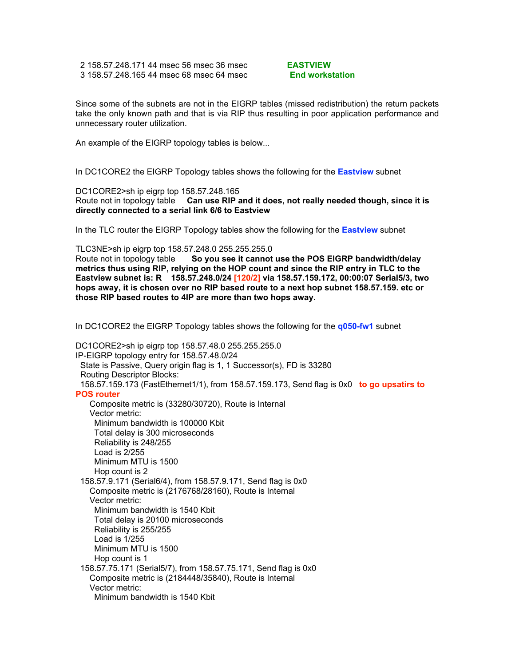2 158.57.248.171 44 msec 56 msec 36 msec **EASTVIEW** 3 158.57.248.165 44 msec 68 msec 64 msec **End workstation**

Since some of the subnets are not in the EIGRP tables (missed redistribution) the return packets take the only known path and that is via RIP thus resulting in poor application performance and unnecessary router utilization.

An example of the EIGRP topology tables is below...

In DC1CORE2 the EIGRP Topology tables shows the following for the **Eastview** subnet

DC1CORE2>sh ip eigrp top 158.57.248.165 Route not in topology table **Can use RIP and it does, not really needed though, since it is directly connected to a serial link 6/6 to Eastview**

In the TLC router the EIGRP Topology tables show the following for the **Eastview** subnet

TLC3NE>sh ip eigrp top 158.57.248.0 255.255.255.0 Route not in topology table **So you see it cannot use the POS EIGRP bandwidth/delay metrics thus using RIP, relying on the HOP count and since the RIP entry in TLC to the Eastview subnet is: R 158.57.248.0/24 [120/2] via 158.57.159.172, 00:00:07 Serial5/3, two hops away, it is chosen over no RIP based route to a next hop subnet 158.57.159. etc or those RIP based routes to 4IP are more than two hops away.**

In DC1CORE2 the EIGRP Topology tables shows the following for the **q050-fw1** subnet

DC1CORE2>sh ip eigrp top 158.57.48.0 255.255.255.0 IP-EIGRP topology entry for 158.57.48.0/24 State is Passive, Query origin flag is 1, 1 Successor(s), FD is 33280 Routing Descriptor Blocks: 158.57.159.173 (FastEthernet1/1), from 158.57.159.173, Send flag is 0x0 **to go upsatirs to POS router** Composite metric is (33280/30720), Route is Internal Vector metric: Minimum bandwidth is 100000 Kbit Total delay is 300 microseconds Reliability is 248/255 Load is 2/255 Minimum MTU is 1500 Hop count is 2 158.57.9.171 (Serial6/4), from 158.57.9.171, Send flag is 0x0 Composite metric is (2176768/28160), Route is Internal Vector metric: Minimum bandwidth is 1540 Kbit Total delay is 20100 microseconds Reliability is 255/255 Load is 1/255 Minimum MTU is 1500 Hop count is 1 158.57.75.171 (Serial5/7), from 158.57.75.171, Send flag is 0x0 Composite metric is (2184448/35840), Route is Internal Vector metric: Minimum bandwidth is 1540 Kbit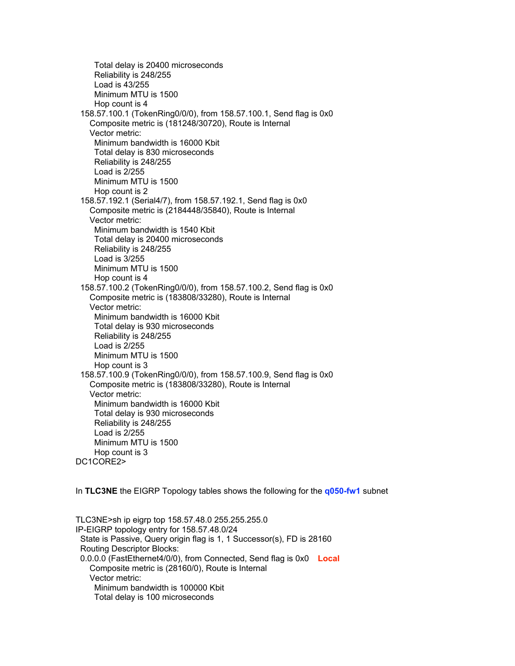Total delay is 20400 microseconds Reliability is 248/255 Load is 43/255 Minimum MTU is 1500 Hop count is 4 158.57.100.1 (TokenRing0/0/0), from 158.57.100.1, Send flag is 0x0 Composite metric is (181248/30720), Route is Internal Vector metric: Minimum bandwidth is 16000 Kbit Total delay is 830 microseconds Reliability is 248/255 Load is 2/255 Minimum MTU is 1500 Hop count is 2 158.57.192.1 (Serial4/7), from 158.57.192.1, Send flag is 0x0 Composite metric is (2184448/35840), Route is Internal Vector metric: Minimum bandwidth is 1540 Kbit Total delay is 20400 microseconds Reliability is 248/255 Load is 3/255 Minimum MTU is 1500 Hop count is 4 158.57.100.2 (TokenRing0/0/0), from 158.57.100.2, Send flag is 0x0 Composite metric is (183808/33280), Route is Internal Vector metric: Minimum bandwidth is 16000 Kbit Total delay is 930 microseconds Reliability is 248/255 Load is 2/255 Minimum MTU is 1500 Hop count is 3 158.57.100.9 (TokenRing0/0/0), from 158.57.100.9, Send flag is 0x0 Composite metric is (183808/33280), Route is Internal Vector metric: Minimum bandwidth is 16000 Kbit Total delay is 930 microseconds Reliability is 248/255 Load is 2/255 Minimum MTU is 1500 Hop count is 3 DC1CORE2>

In **TLC3NE** the EIGRP Topology tables shows the following for the **q050-fw1** subnet

TLC3NE>sh ip eigrp top 158.57.48.0 255.255.255.0 IP-EIGRP topology entry for 158.57.48.0/24 State is Passive, Query origin flag is 1, 1 Successor(s), FD is 28160 Routing Descriptor Blocks: 0.0.0.0 (FastEthernet4/0/0), from Connected, Send flag is 0x0 **Local** Composite metric is (28160/0), Route is Internal Vector metric: Minimum bandwidth is 100000 Kbit Total delay is 100 microseconds